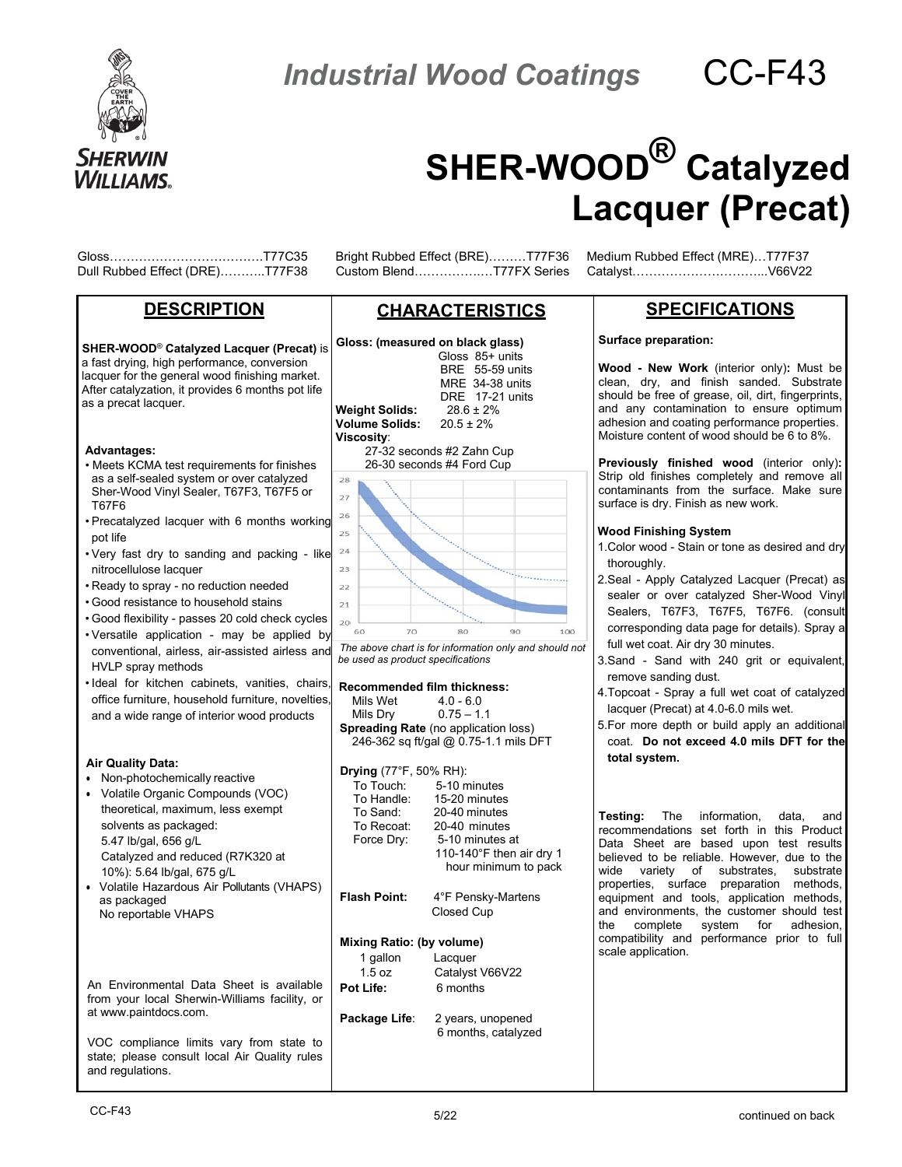

**Industrial Wood Coatings CC-F43** 

# **SHER-WOOD® Catalyzed Lacquer (Precat)**

Gloss……………………………….T77C35 Bright Rubbed Effect (BRE)………T77F36 Medium Rubbed Effect (MRE)…T77F37

## **DESCRIPTION**

**SHER-WOOD**® **Catalyzed Lacquer (Precat)** is a fast drying, high performance, conversion lacquer for the general wood finishing market. After catalyzation, it provides 6 months pot life as a precat lacquer.

#### **Advantages:**

- Meets KCMA test requirements for finishes as a self-sealed system or over catalyzed Sher-Wood Vinyl Sealer, T67F3, T67F5 or T67F6
- Precatalyzed lacquer with 6 months working pot life
- Very fast dry to sanding and packing like nitrocellulose lacquer
- Ready to spray no reduction needed
- Good resistance to household stains
- Good flexibility passes 20 cold check cycles
- Versatile application may be applied by conventional, airless, air-assisted airless and HVLP spray methods
- Ideal for kitchen cabinets, vanities, chairs, **Recommended film thickness:** office furniture, household furniture, novelties, and a wide range of interior wood products

#### **Air Quality Data:**

- Non-photochemically reactive
- Volatile Organic Compounds (VOC) theoretical, maximum, less exempt solvents as packaged: 5.47 lb/gal, 656 g/L Catalyzed and reduced (R7K320 at 10%): 5.64 lb/gal, 675 g/L
- Volatile Hazardous Air Pollutants (VHAPS) as packaged No reportable VHAPS

An Environmental Data Sheet is available from your local Sherwin-Williams facility, or at [www.paintdocs.com.](http://www.paintdocs.com/)

VOC compliance limits vary from state to state; please consult local Air Quality rules and regulations.

Custom Blend……………….T77FX Series

# **CHARACTERISTICS**



| Mils Wet 4.0 - 6.0<br>Mils Dry<br><b>Drying</b> $(77^{\circ}F, 50\% \text{ RH})$ : | $0.75 - 1.1$<br><b>Spreading Rate</b> (no application loss)<br>246-362 sq ft/gal @ 0.75-1.1 mils DFT |
|------------------------------------------------------------------------------------|------------------------------------------------------------------------------------------------------|
|                                                                                    | To Touch: 5-10 minutes                                                                               |
|                                                                                    | To Handle: 15-20 minutes                                                                             |
|                                                                                    | To Sand: 20-40 minutes                                                                               |
|                                                                                    | To Recoat: 20-40 minutes                                                                             |
| Force Dry:                                                                         | 5-10 minutes at                                                                                      |
|                                                                                    | 110-140°F then air dry 1                                                                             |
|                                                                                    | hour minimum to pack                                                                                 |
| <b>Flash Point:</b>                                                                | 4°F Pensky-Martens<br>Closed Cup                                                                     |
| Mixing Ratio: (by volume)                                                          |                                                                                                      |
| 1 gallon                                                                           | Lacquer                                                                                              |
| 1.5 oz                                                                             | Catalyst V66V22                                                                                      |
| Pot Life:                                                                          | 6 months                                                                                             |
| Package Life:                                                                      | 2 years, unopened<br>6 months, catalyzed                                                             |
|                                                                                    |                                                                                                      |

# **SPECIFICATIONS**

#### **Surface preparation:**

**Wood - New Work** (interior only)**:** Must be clean, dry, and finish sanded. Substrate should be free of grease, oil, dirt, fingerprints, and any contamination to ensure optimum adhesion and coating performance properties. Moisture content of wood should be 6 to 8%.

**Previously finished wood** (interior only)**:** Strip old finishes completely and remove all contaminants from the surface. Make sure surface is dry. Finish as new work.

#### **Wood Finishing System**

- 1.Color wood Stain or tone as desired and dry thoroughly.
- 2.Seal Apply Catalyzed Lacquer (Precat) as sealer or over catalyzed Sher-Wood Vinyl Sealers, T67F3, T67F5, T67F6, (consult corresponding data page for details). Spray a full wet coat. Air dry 30 minutes.
- 3.Sand Sand with 240 grit or equivalent, remove sanding dust.
- 4.Topcoat Spray a full wet coat of catalyzed lacquer (Precat) at 4.0-6.0 mils wet.
- 5.For more depth or build apply an additional coat. **Do not exceed 4.0 mils DFT for the total system.**

**Testing:** The information, data, and recommendations set forth in this Product Data Sheet are based upon test results believed to be reliable. However, due to the wide variety of substrates, substrate properties, surface preparation methods, equipment and tools, application methods, and environments, the customer should test the complete system for adhesion, compatibility and performance prior to full scale application.